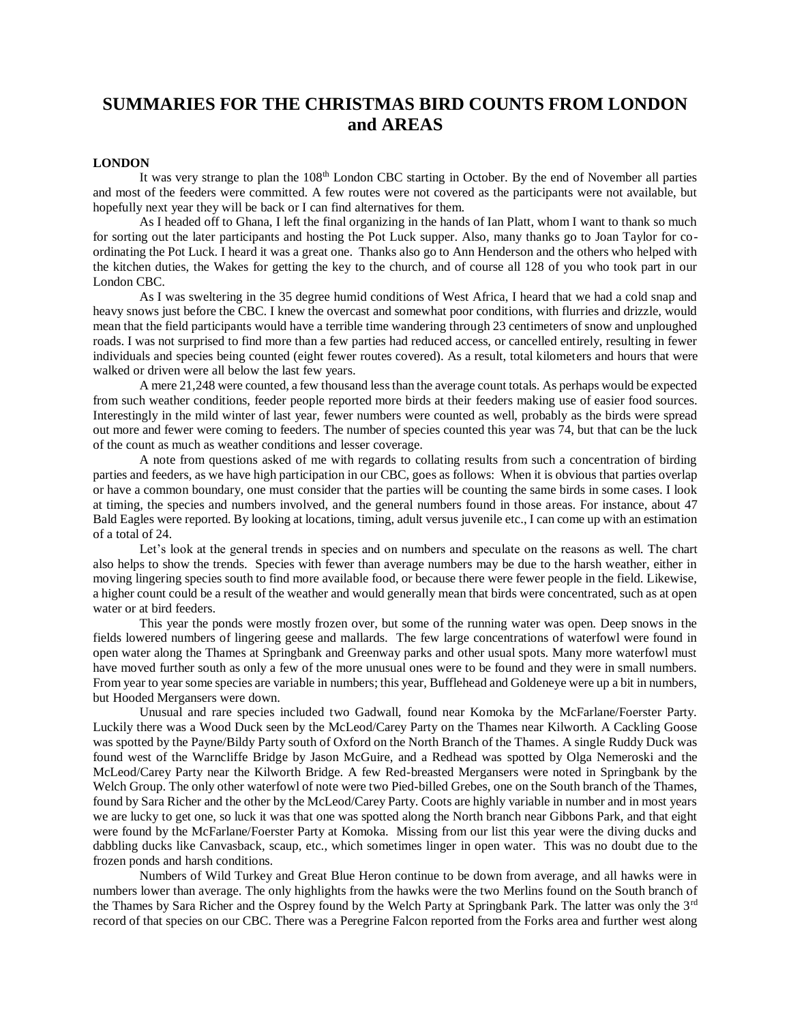# **SUMMARIES FOR THE CHRISTMAS BIRD COUNTS FROM LONDON and AREAS**

## **LONDON**

It was very strange to plan the 108<sup>th</sup> London CBC starting in October. By the end of November all parties and most of the feeders were committed. A few routes were not covered as the participants were not available, but hopefully next year they will be back or I can find alternatives for them.

As I headed off to Ghana, I left the final organizing in the hands of Ian Platt, whom I want to thank so much for sorting out the later participants and hosting the Pot Luck supper. Also, many thanks go to Joan Taylor for coordinating the Pot Luck. I heard it was a great one. Thanks also go to Ann Henderson and the others who helped with the kitchen duties, the Wakes for getting the key to the church, and of course all 128 of you who took part in our London CBC.

As I was sweltering in the 35 degree humid conditions of West Africa, I heard that we had a cold snap and heavy snows just before the CBC. I knew the overcast and somewhat poor conditions, with flurries and drizzle, would mean that the field participants would have a terrible time wandering through 23 centimeters of snow and unploughed roads. I was not surprised to find more than a few parties had reduced access, or cancelled entirely, resulting in fewer individuals and species being counted (eight fewer routes covered). As a result, total kilometers and hours that were walked or driven were all below the last few years.

A mere 21,248 were counted, a few thousand less than the average count totals. As perhaps would be expected from such weather conditions, feeder people reported more birds at their feeders making use of easier food sources. Interestingly in the mild winter of last year, fewer numbers were counted as well, probably as the birds were spread out more and fewer were coming to feeders. The number of species counted this year was 74, but that can be the luck of the count as much as weather conditions and lesser coverage.

A note from questions asked of me with regards to collating results from such a concentration of birding parties and feeders, as we have high participation in our CBC, goes as follows: When it is obvious that parties overlap or have a common boundary, one must consider that the parties will be counting the same birds in some cases. I look at timing, the species and numbers involved, and the general numbers found in those areas. For instance, about 47 Bald Eagles were reported. By looking at locations, timing, adult versus juvenile etc., I can come up with an estimation of a total of 24.

Let's look at the general trends in species and on numbers and speculate on the reasons as well. The chart also helps to show the trends. Species with fewer than average numbers may be due to the harsh weather, either in moving lingering species south to find more available food, or because there were fewer people in the field. Likewise, a higher count could be a result of the weather and would generally mean that birds were concentrated, such as at open water or at bird feeders.

This year the ponds were mostly frozen over, but some of the running water was open. Deep snows in the fields lowered numbers of lingering geese and mallards. The few large concentrations of waterfowl were found in open water along the Thames at Springbank and Greenway parks and other usual spots. Many more waterfowl must have moved further south as only a few of the more unusual ones were to be found and they were in small numbers. From year to year some species are variable in numbers; this year, Bufflehead and Goldeneye were up a bit in numbers, but Hooded Mergansers were down.

Unusual and rare species included two Gadwall, found near Komoka by the McFarlane/Foerster Party. Luckily there was a Wood Duck seen by the McLeod/Carey Party on the Thames near Kilworth. A Cackling Goose was spotted by the Payne/Bildy Party south of Oxford on the North Branch of the Thames. A single Ruddy Duck was found west of the Warncliffe Bridge by Jason McGuire, and a Redhead was spotted by Olga Nemeroski and the McLeod/Carey Party near the Kilworth Bridge. A few Red-breasted Mergansers were noted in Springbank by the Welch Group. The only other waterfowl of note were two Pied-billed Grebes, one on the South branch of the Thames, found by Sara Richer and the other by the McLeod/Carey Party. Coots are highly variable in number and in most years we are lucky to get one, so luck it was that one was spotted along the North branch near Gibbons Park, and that eight were found by the McFarlane/Foerster Party at Komoka. Missing from our list this year were the diving ducks and dabbling ducks like Canvasback, scaup, etc., which sometimes linger in open water. This was no doubt due to the frozen ponds and harsh conditions.

Numbers of Wild Turkey and Great Blue Heron continue to be down from average, and all hawks were in numbers lower than average. The only highlights from the hawks were the two Merlins found on the South branch of the Thames by Sara Richer and the Osprey found by the Welch Party at Springbank Park. The latter was only the 3rd record of that species on our CBC. There was a Peregrine Falcon reported from the Forks area and further west along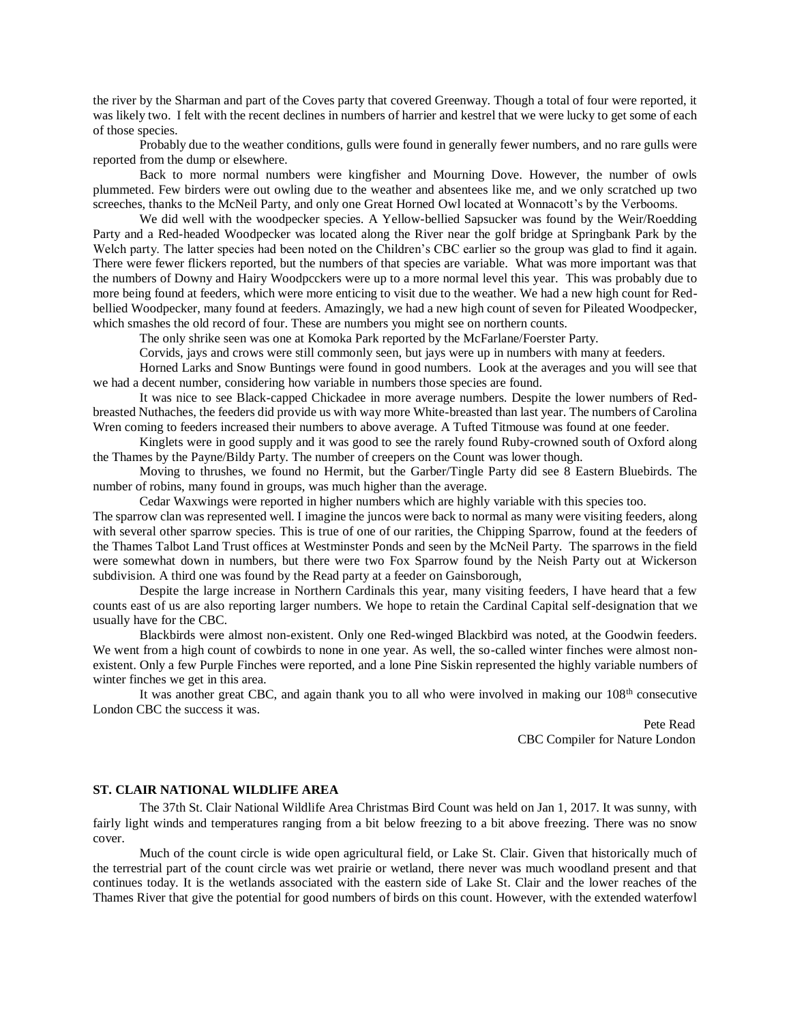the river by the Sharman and part of the Coves party that covered Greenway. Though a total of four were reported, it was likely two. I felt with the recent declines in numbers of harrier and kestrel that we were lucky to get some of each of those species.

Probably due to the weather conditions, gulls were found in generally fewer numbers, and no rare gulls were reported from the dump or elsewhere.

Back to more normal numbers were kingfisher and Mourning Dove. However, the number of owls plummeted. Few birders were out owling due to the weather and absentees like me, and we only scratched up two screeches, thanks to the McNeil Party, and only one Great Horned Owl located at Wonnacott's by the Verbooms.

We did well with the woodpecker species. A Yellow-bellied Sapsucker was found by the Weir/Roedding Party and a Red-headed Woodpecker was located along the River near the golf bridge at Springbank Park by the Welch party. The latter species had been noted on the Children's CBC earlier so the group was glad to find it again. There were fewer flickers reported, but the numbers of that species are variable. What was more important was that the numbers of Downy and Hairy Woodpcckers were up to a more normal level this year. This was probably due to more being found at feeders, which were more enticing to visit due to the weather. We had a new high count for Redbellied Woodpecker, many found at feeders. Amazingly, we had a new high count of seven for Pileated Woodpecker, which smashes the old record of four. These are numbers you might see on northern counts.

The only shrike seen was one at Komoka Park reported by the McFarlane/Foerster Party.

Corvids, jays and crows were still commonly seen, but jays were up in numbers with many at feeders.

Horned Larks and Snow Buntings were found in good numbers. Look at the averages and you will see that we had a decent number, considering how variable in numbers those species are found.

It was nice to see Black-capped Chickadee in more average numbers. Despite the lower numbers of Redbreasted Nuthaches, the feeders did provide us with way more White-breasted than last year. The numbers of Carolina Wren coming to feeders increased their numbers to above average. A Tufted Titmouse was found at one feeder.

Kinglets were in good supply and it was good to see the rarely found Ruby-crowned south of Oxford along the Thames by the Payne/Bildy Party. The number of creepers on the Count was lower though.

Moving to thrushes, we found no Hermit, but the Garber/Tingle Party did see 8 Eastern Bluebirds. The number of robins, many found in groups, was much higher than the average.

Cedar Waxwings were reported in higher numbers which are highly variable with this species too.

The sparrow clan was represented well. I imagine the juncos were back to normal as many were visiting feeders, along with several other sparrow species. This is true of one of our rarities, the Chipping Sparrow, found at the feeders of the Thames Talbot Land Trust offices at Westminster Ponds and seen by the McNeil Party. The sparrows in the field were somewhat down in numbers, but there were two Fox Sparrow found by the Neish Party out at Wickerson subdivision. A third one was found by the Read party at a feeder on Gainsborough,

Despite the large increase in Northern Cardinals this year, many visiting feeders, I have heard that a few counts east of us are also reporting larger numbers. We hope to retain the Cardinal Capital self-designation that we usually have for the CBC.

Blackbirds were almost non-existent. Only one Red-winged Blackbird was noted, at the Goodwin feeders. We went from a high count of cowbirds to none in one year. As well, the so-called winter finches were almost nonexistent. Only a few Purple Finches were reported, and a lone Pine Siskin represented the highly variable numbers of winter finches we get in this area.

It was another great CBC, and again thank you to all who were involved in making our 108<sup>th</sup> consecutive London CBC the success it was.

 Pete Read CBC Compiler for Nature London

### **ST. CLAIR NATIONAL WILDLIFE AREA**

The 37th St. Clair National Wildlife Area Christmas Bird Count was held on Jan 1, 2017. It was sunny, with fairly light winds and temperatures ranging from a bit below freezing to a bit above freezing. There was no snow cover.

Much of the count circle is wide open agricultural field, or Lake St. Clair. Given that historically much of the terrestrial part of the count circle was wet prairie or wetland, there never was much woodland present and that continues today. It is the wetlands associated with the eastern side of Lake St. Clair and the lower reaches of the Thames River that give the potential for good numbers of birds on this count. However, with the extended waterfowl